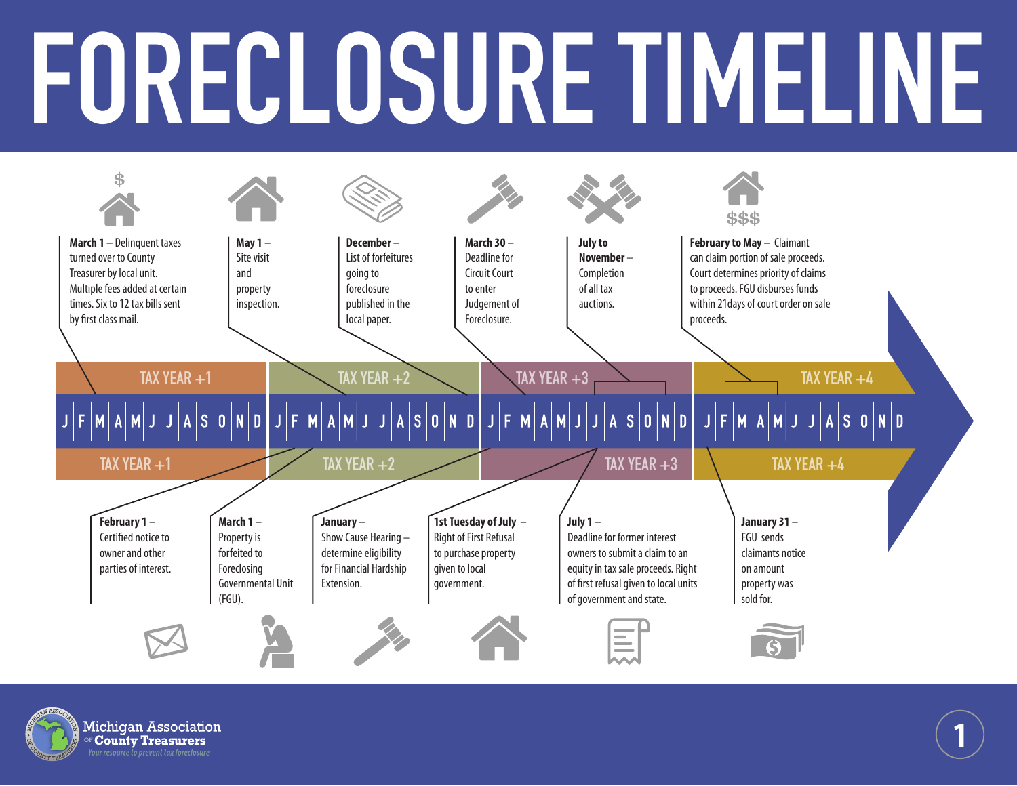## **FORECLOSURE TIMELINE**